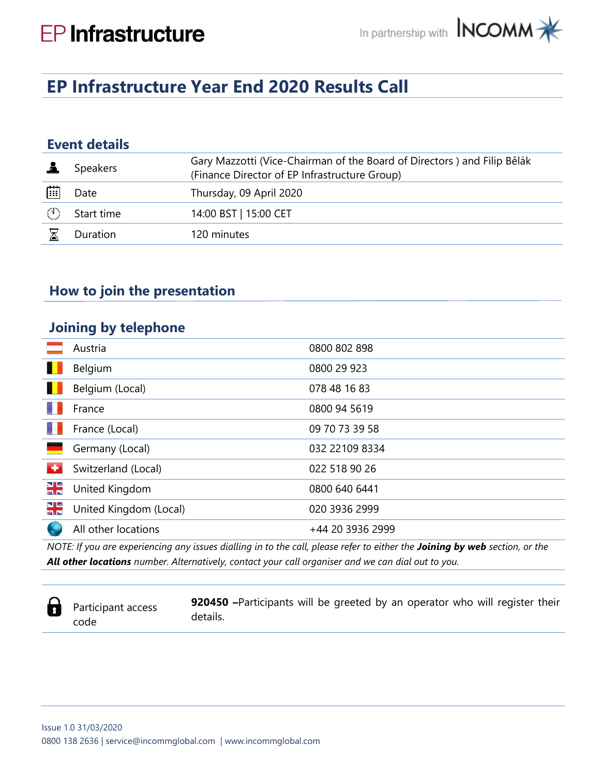# **EP Infrastructure Year End 2020 Results Call**

# **Event details**

|   | Speakers   | Gary Mazzotti (Vice-Chairman of the Board of Directors) and Filip Bělák<br>(Finance Director of EP Infrastructure Group) |
|---|------------|--------------------------------------------------------------------------------------------------------------------------|
| 曲 | Date       | Thursday, 09 April 2020                                                                                                  |
|   | Start time | 14:00 BST   15:00 CET                                                                                                    |
|   | Duration   | 120 minutes                                                                                                              |
|   |            |                                                                                                                          |

## **How to join the presentation**

#### **Joining by telephone**

|                          | Austria                | 0800 802 898     |
|--------------------------|------------------------|------------------|
| ш                        | Belgium                | 0800 29 923      |
| ш                        | Belgium (Local)        | 078 48 16 83     |
|                          | France                 | 0800 94 5619     |
|                          | France (Local)         | 09 70 73 39 58   |
|                          | Germany (Local)        | 032 22109 8334   |
| $\overline{\phantom{a}}$ | Switzerland (Local)    | 022 518 90 26    |
| NE<br>ZK                 | United Kingdom         | 0800 640 6441    |
| NE<br>25                 | United Kingdom (Local) | 020 3936 2999    |
|                          | All other locations    | +44 20 3936 2999 |

*NOTE: If you are experiencing any issues dialling in to the call, please refer to either the Joining by web section, or the All other locations number. Alternatively, contact your call organiser and we can dial out to you.*

a

Participant access code

**920450 –**Participants will be greeted by an operator who will register their details.